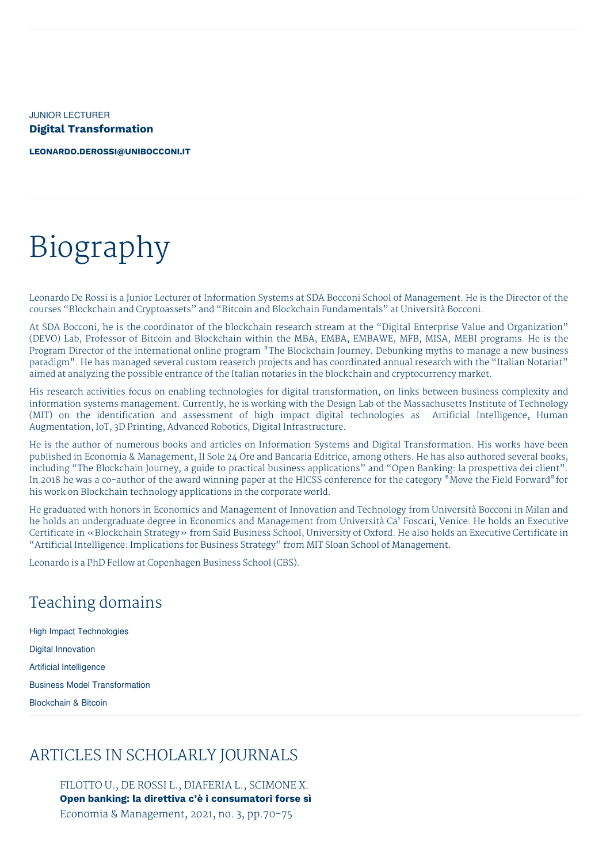JUNIOR LECTURER **Digital Transformation**

**[LEONARDO.DEROSSI@UNIBOCCONI.IT](mailto:leonardo.derossi@unibocconi.it)**

# Biography

Leonardo De Rossi is a Junior Lecturer of Information Systems at SDA Bocconi School of Management. He is the Director of the courses "Blockchain and Cryptoassets" and "Bitcoin and Blockchain Fundamentals" at Università Bocconi.

At SDA Bocconi, he is the coordinator of the blockchain research stream at the "Digital Enterprise Value and Organization" (DEVO) Lab, Professor of Bitcoin and Blockchain within the MBA, EMBA, EMBAWE, MFB, MISA, MEBI programs. He is the Program Director of the international online program "The Blockchain Journey. Debunking myths to manage a new business paradigm". He has managed several custom reaserch projects and has coordinated annual research with the "Italian Notariat" aimed at analyzing the possible entrance of the Italian notaries in the blockchain and cryptocurrency market.

His research activities focus on enabling technologies for digital transformation, on links between business complexity and information systems management. Currently, he is working with the Design Lab of the Massachusetts Institute of Technology (MIT) on the identification and assessment of high impact digital technologies as Artificial Intelligence, Human Augmentation, IoT, 3D Printing, Advanced Robotics, Digital Infrastructure.

He is the author of numerous books and articles on Information Systems and Digital Transformation. His works have been published in Economia & Management, Il Sole 24 Ore and Bancaria Editrice, among others. He has also authored several books, including "The Blockchain Journey, a guide to practical business applications" and "Open Banking: la prospettiva dei client". In 2018 he was a co-author of the award winning paper at the HICSS conference for the category "Move the Field Forward"for his work on Blockchain technology applications in the corporate world.

He graduated with honors in Economics and Management of Innovation and Technology from Università Bocconi in Milan and he holds an undergraduate degree in Economics and Management from Università Ca' Foscari, Venice. He holds an Executive Certificate in «Blockchain Strategy» from Saïd Business School, University of Oxford. He also holds an Executive Certificate in "Artificial Intelligence: Implications for Business Strategy" from MIT Sloan School of Management.

Leonardo is a PhD Fellow at Copenhagen Business School (CBS).

# Teaching domains

High Impact Technologies Digital Innovation Artificial Intelligence Business Model Transformation Blockchain & Bitcoin

## ARTICLES IN SCHOLARLY JOURNALS

FILOTTO U., DE ROSSI L., DIAFERIA L., SCIMONE X. **Open banking: la direttiva c'è i consumatori forse sì** Economia & Management, 2021, no. 3, pp.70-75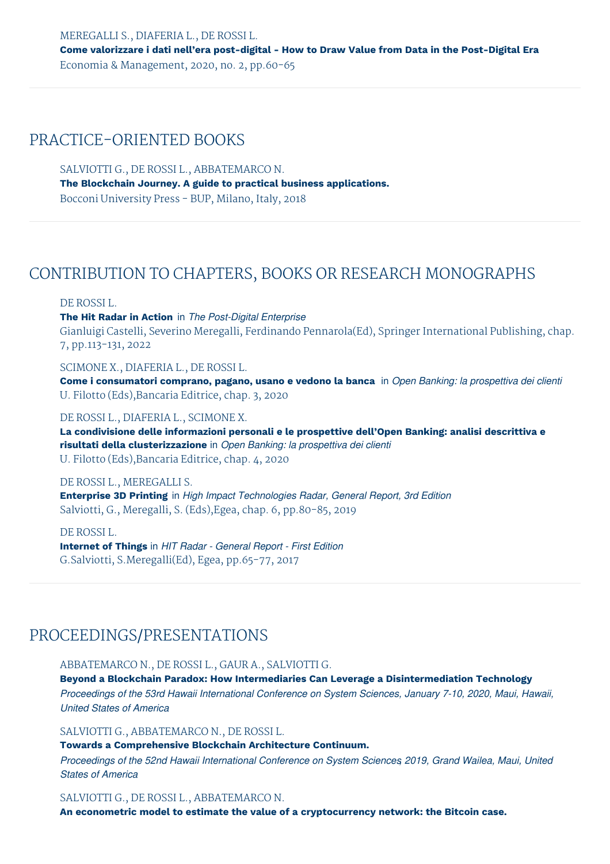MEREGALLI S., DIAFERIA L., DE ROSSI L. **Come valorizzare i dati nell'era post-digital - How to Draw Value from Data in the Post-Digital Era** Economia & Management, 2020, no. 2, pp.60-65

## PRACTICE-ORIENTED BOOKS

SALVIOTTI G., DE ROSSI L., ABBATEMARCO N. **The Blockchain Journey. A guide to practical business applications.** Bocconi University Press - BUP, Milano, Italy, 2018

## CONTRIBUTION TO CHAPTERS, BOOKS OR RESEARCH MONOGRAPHS

#### DE ROSSI L.

**The Hit Radar in Action** in *The Post-Digital Enterprise* Gianluigi Castelli, Severino Meregalli, Ferdinando Pennarola(Ed), Springer International Publishing, chap. 7, pp.113-131, 2022

## SCIMONE X., DIAFERIA L., DE ROSSI L.

**Come i consumatori comprano, pagano, usano e vedono la banca** in *Open Banking: la prospettiva dei clienti* U. Filotto (Eds),Bancaria Editrice, chap. 3, 2020

### DE ROSSI L., DIAFERIA L., SCIMONE X.

**La condivisione delle informazioni personali e le prospettive dell'Open Banking: analisi descrittiva e risultati della clusterizzazione** in *Open Banking: la prospettiva dei clienti* U. Filotto (Eds),Bancaria Editrice, chap. 4, 2020

## DE ROSSI L., MEREGALLI S.

**Enterprise 3D Printing** in *High Impact Technologies Radar, General Report, 3rd Edition* Salviotti, G., Meregalli, S. (Eds),Egea, chap. 6, pp.80-85, 2019

DE ROSSI L. **Internet of Things** in *HIT Radar - General Report - First Edition* G.Salviotti, S.Meregalli(Ed), Egea, pp.65-77, 2017

## PROCEEDINGS/PRESENTATIONS

#### ABBATEMARCO N., DE ROSSI L., GAUR A., SALVIOTTI G.

**Beyond a Blockchain Paradox: How Intermediaries Can Leverage a Disintermediation Technology** *Proceedings of the 53rd Hawaii International Conference on System Sciences, January 7-10, 2020, Maui, Hawaii, United States of America*

## SALVIOTTI G., ABBATEMARCO N., DE ROSSI L.

**Towards a Comprehensive Blockchain Architecture Continuum.**

*Proceedings of the 52nd Hawaii International Conference on System Sciences, 2019, Grand Wailea, Maui, United States of America*

#### SALVIOTTI G., DE ROSSI L., ABBATEMARCO N.

**An econometric model to estimate the value of a cryptocurrency network: the Bitcoin case.**